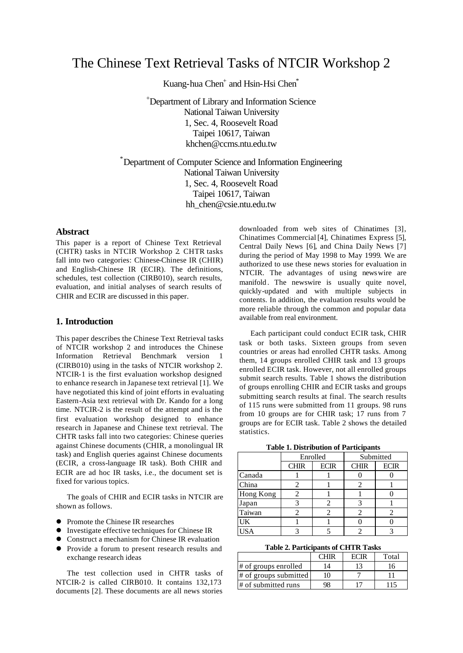# The Chinese Text Retrieval Tasks of NTCIR Workshop 2

Kuang-hua Chen<sup>+</sup> and Hsin-Hsi Chen<sup>\*</sup>

<sup>+</sup>Department of Library and Information Science National Taiwan University 1, Sec. 4, Roosevelt Road Taipei 10617, Taiwan khchen@ccms.ntu.edu.tw

\*Department of Computer Science and Information Engineering National Taiwan University 1, Sec. 4, Roosevelt Road Taipei 10617, Taiwan hh\_chen@csie.ntu.edu.tw

### **Abstract**

This paper is a report of Chinese Text Retrieval (CHTR) tasks in NTCIR Workshop 2. CHTR tasks fall into two categories: Chinese-Chinese IR (CHIR) and English-Chinese IR (ECIR). The definitions, schedules, test collection (CIRB010), search results, evaluation, and initial analyses of search results of CHIR and ECIR are discussed in this paper.

#### **1. Introduction**

This paper describes the Chinese Text Retrieval tasks of NTCIR workshop 2 and introduces the Chinese Information Retrieval Benchmark version 1 (CIRB010) using in the tasks of NTCIR workshop 2. NTCIR-1 is the first evaluation workshop designed to enhance research in Japanese text retrieval [1]. We have negotiated this kind of joint efforts in evaluating Eastern-Asia text retrieval with Dr. Kando for a long time. NTCIR-2 is the result of the attempt and is the first evaluation workshop designed to enhance research in Japanese and Chinese text retrieval. The CHTR tasks fall into two categories: Chinese queries against Chinese documents (CHIR, a monolingual IR task) and English queries against Chinese documents (ECIR, a cross-language IR task). Both CHIR and ECIR are ad hoc IR tasks, i.e., the document set is fixed for various topics.

The goals of CHIR and ECIR tasks in NTCIR are shown as follows.

- **•** Promote the Chinese IR researches
- **•** Investigate effective techniques for Chinese IR
- **•** Construct a mechanism for Chinese IR evaluation
- Provide a forum to present research results and exchange research ideas

The test collection used in CHTR tasks of NTCIR-2 is called CIRB010. It contains 132,173 documents [2]. These documents are all news stories downloaded from web sites of Chinatimes [3], Chinatimes Commercial [4], Chinatimes Express [5], Central Daily News [6], and China Daily News [7] during the period of May 1998 to May 1999. We are authorized to use these news stories for evaluation in NTCIR. The advantages of using newswire are manifold. The newswire is usually quite novel, quickly-updated and with multiple subjects in contents. In addition, the evaluation results would be more reliable through the common and popular data available from real environment.

Each participant could conduct ECIR task, CHIR task or both tasks. Sixteen groups from seven countries or areas had enrolled CHTR tasks. Among them, 14 groups enrolled CHIR task and 13 groups enrolled ECIR task. However, not all enrolled groups submit search results. Table 1 shows the distribution of groups enrolling CHIR and ECIR tasks and groups submitting search results at final. The search results of 115 runs were submitted from 11 groups. 98 runs from 10 groups are for CHIR task; 17 runs from 7 groups are for ECIR task. Table 2 shows the detailed statistics.

**Table 1. Distribution of Participants** 

|            | ruon 1, Droinouvon or 1 ur verpuno |                                                                                                                                                                                                                                                                                                                                                                                                                                                                                   |             |             |  |
|------------|------------------------------------|-----------------------------------------------------------------------------------------------------------------------------------------------------------------------------------------------------------------------------------------------------------------------------------------------------------------------------------------------------------------------------------------------------------------------------------------------------------------------------------|-------------|-------------|--|
|            |                                    | Enrolled                                                                                                                                                                                                                                                                                                                                                                                                                                                                          | Submitted   |             |  |
|            | <b>CHIR</b>                        | <b>ECIR</b>                                                                                                                                                                                                                                                                                                                                                                                                                                                                       | <b>CHIR</b> | <b>ECIR</b> |  |
| Canada     |                                    |                                                                                                                                                                                                                                                                                                                                                                                                                                                                                   |             |             |  |
| China      |                                    |                                                                                                                                                                                                                                                                                                                                                                                                                                                                                   | 2           |             |  |
| Hong Kong  |                                    |                                                                                                                                                                                                                                                                                                                                                                                                                                                                                   |             |             |  |
| Japan      |                                    | $\mathcal{D}_{\mathcal{L}}^{\mathcal{L}}(\mathcal{L}_{\mathcal{L}}^{\mathcal{L}}(\mathcal{L}_{\mathcal{L}}^{\mathcal{L}}(\mathcal{L}_{\mathcal{L}}^{\mathcal{L}}(\mathcal{L}_{\mathcal{L}}^{\mathcal{L}}(\mathcal{L}_{\mathcal{L}}^{\mathcal{L}}(\mathcal{L}_{\mathcal{L}}^{\mathcal{L}}(\mathcal{L}_{\mathcal{L}}^{\mathcal{L}}(\mathcal{L}_{\mathcal{L}}^{\mathcal{L}}(\mathcal{L}_{\mathcal{L}}^{\mathcal{L}}(\mathcal{L}_{\mathcal{L}}^{\mathcal{L}}(\mathcal{L}_{\mathcal{L$ |             |             |  |
| Taiwan     |                                    | $\mathcal{D}$                                                                                                                                                                                                                                                                                                                                                                                                                                                                     | 2           |             |  |
| UK         |                                    |                                                                                                                                                                                                                                                                                                                                                                                                                                                                                   |             |             |  |
| <b>ISA</b> |                                    |                                                                                                                                                                                                                                                                                                                                                                                                                                                                                   |             |             |  |

**Table 2. Participants of CHTR Tasks**

|                       |  | Total |
|-----------------------|--|-------|
| # of groups enrolled  |  |       |
| # of groups submitted |  |       |
| # of submitted runs   |  |       |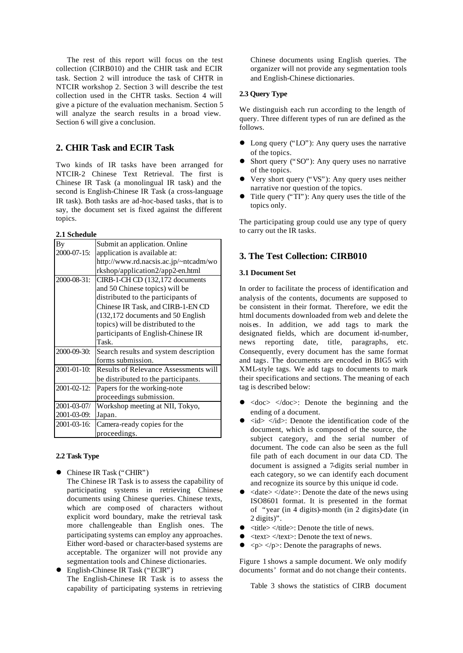The rest of this report will focus on the test collection (CIRB010) and the CHIR task and ECIR task. Section 2 will introduce the task of CHTR in NTCIR workshop 2. Section 3 will describe the test collection used in the CHTR tasks. Section 4 will give a picture of the evaluation mechanism. Section 5 will analyze the search results in a broad view. Section 6 will give a conclusion.

# **2. CHIR Task and ECIR Task**

Two kinds of IR tasks have been arranged for NTCIR-2 Chinese Text Retrieval. The first is Chinese IR Task (a monolingual IR task) and the second is English-Chinese IR Task (a cross-language IR task). Both tasks are ad-hoc-based tasks, that is to say, the document set is fixed against the different topics.

#### **2.1 Schedule**

| By          | Submit an application. Online                |
|-------------|----------------------------------------------|
| 2000-07-15: | application is available at:                 |
|             | http://www.rd.nacsis.ac.jp/~ntcadm/wo        |
|             | rkshop/application2/app2-en.html             |
| 2000-08-31: | CIRB-1-CH CD (132,172 documents              |
|             | and 50 Chinese topics) will be               |
|             | distributed to the participants of           |
|             | Chinese IR Task, and CIRB-1-EN CD            |
|             | (132,172 documents and 50 English            |
|             | topics) will be distributed to the           |
|             | participants of English-Chinese IR           |
|             | Task.                                        |
| 2000-09-30: | Search results and system description        |
|             | forms submission.                            |
| 2001-01-10: | <b>Results of Relevance Assessments will</b> |
|             | be distributed to the participants.          |
| 2001-02-12: | Papers for the working-note                  |
|             | proceedings submission.                      |
| 2001-03-07/ | Workshop meeting at NII, Tokyo,              |
| 2001-03-09: | Japan.                                       |
| 2001-03-16: | Camera-ready copies for the                  |
|             | proceedings.                                 |

### **2.2 Task Type**

- Chinese IR Task ("CHIR") The Chinese IR Task is to assess the capability of participating systems in retrieving Chinese documents using Chinese queries. Chinese texts, which are composed of characters without explicit word boundary, make the retrieval task more challengeable than English ones. The participating systems can employ any approaches. Either word-based or character-based systems are acceptable. The organizer will not provide any segmentation tools and Chinese dictionaries.
- l English-Chinese IR Task ("ECIR") The English-Chinese IR Task is to assess the capability of participating systems in retrieving

Chinese documents using English queries. The organizer will not provide any segmentation tools and English-Chinese dictionaries.

### **2.3 Query Type**

We distinguish each run according to the length of query. Three different types of run are defined as the follows.

- Long query ("LO"): Any query uses the narrative of the topics.
- Short query ("SO"): Any query uses no narrative of the topics.
- Very short query ("VS"): Any query uses neither narrative nor question of the topics.
- $\bullet$  Title query ("TI"): Any query uses the title of the topics only.

The participating group could use any type of query to carry out the IR tasks.

### **3. The Test Collection: CIRB010**

#### **3.1 Document Set**

In order to facilitate the process of identification and analysis of the contents, documents are supposed to be consistent in their format. Therefore, we edit the html documents downloaded from web and delete the nois es. In addition, we add tags to mark the designated fields, which are document id-number, news reporting date, title, paragraphs, etc. Consequently, every document has the same format and tags. The documents are encoded in BIG5 with XML-style tags. We add tags to documents to mark their specifications and sections. The meaning of each tag is described below:

- $\langle \text{doc} \rangle$   $\langle \text{doc} \rangle$ : Denote the beginning and the ending of a document.
- $\langle \text{id}\rangle$   $\langle \text{id}\rangle$ : Denote the identification code of the document, which is composed of the source, the subject category, and the serial number of document. The code can also be seen as the full file path of each document in our data CD. The document is assigned a 7-digits serial number in each category, so we can identify each document and recognize its source by this unique id code.
- $\langle \text{date}\rangle$   $\langle \text{date}\rangle$ : Denote the date of the news using ISO8601 format. It is presented in the format of "year (in 4 digits)-month (in 2 digits)-date (in 2 digits)".
- $\bullet$   $\lt$ title $\gt$  $\lt$ title $\gt$ : Denote the title of news.
- $\bullet \quad$  <text> </text>: Denote the text of news.
- $\bullet \leq p \lt p \lt p$ : Denote the paragraphs of news.

Figure 1 shows a sample document. We only modify documents' format and do not change their contents.

Table 3 shows the statistics of CIRB document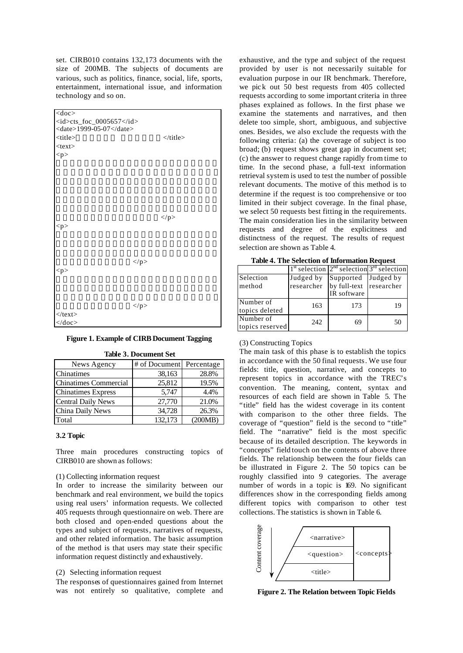set. CIRB010 contains 132,173 documents with the size of 200MB. The subjects of documents are various, such as politics, finance, social, life, sports, entertainment, international issue, and information technology and so on.



#### **Figure 1. Example of CIRB Document Tagging**

| News Agency                  | # of Document | Percentage |
|------------------------------|---------------|------------|
| <b>Chinatimes</b>            | 38,163        | 28.8%      |
| <b>Chinatimes Commercial</b> | 25,812        | 19.5%      |
| <b>Chinatimes Express</b>    | 5.747         | 4.4%       |
| <b>Central Daily News</b>    | 27,770        | 21.0%      |
| China Daily News             | 34,728        | 26.3%      |
| Total                        | 132,173       | 200MB)     |

**Table 3. Document Set**

#### **3.2 Topic**

Three main procedures constructing topics of CIRB010 are shown as follows:

#### (1) Collecting information request

In order to increase the similarity between our benchmark and real environment, we build the topics using real users' information requests. We collected 405 requests through questionnaire on web. There are both closed and open-ended questions about the types and subject of requests, narratives of requests, and other related information. The basic assumption of the method is that users may state their specific information request distinctly and exhaustively.

### (2) Selecting information request

The responses of questionnaires gained from Internet was not entirely so qualitative, complete and

exhaustive, and the type and subject of the request provided by user is not necessarily suitable for evaluation purpose in our IR benchmark. Therefore, we pic k out 50 best requests from 405 collected requests according to some important criteria in three phases explained as follows. In the first phase we examine the statements and narratives, and then delete too simple, short, ambiguous, and subjective ones. Besides, we also exclude the requests with the following criteria: (a) the coverage of subject is too broad; (b) request shows great gap in document set; (c) the answer to request change rapidly from time to time. In the second phase, a full-text information retrieval system is used to test the number of possible relevant documents. The motive of this method is to determine if the request is too comprehensive or too limited in their subject coverage. In the final phase, we select 50 requests best fitting in the requirements. The main consideration lies in the similarity between requests and degree of the explicitness and distinctness of the request. The results of request selection are shown as Table 4.

|  |  |  |  | <b>Table 4. The Selection of Information Request</b> |  |
|--|--|--|--|------------------------------------------------------|--|
|--|--|--|--|------------------------------------------------------|--|

| тамс - так всксими от шкогналон кеачел |            |                                                 |           |  |  |
|----------------------------------------|------------|-------------------------------------------------|-----------|--|--|
|                                        |            | $1st$ selection $2nd$ selection $3rd$ selection |           |  |  |
| Selection                              | Judged by  | Supported                                       | Judged by |  |  |
| method                                 | researcher | by full-text researcher                         |           |  |  |
|                                        |            | IR software                                     |           |  |  |
| Number of                              | 163        | 173                                             | 19        |  |  |
| topics deleted                         |            |                                                 |           |  |  |
| Number of                              | 242        | 69                                              | 50        |  |  |
| topics reserved                        |            |                                                 |           |  |  |

### (3) Constructing Topics

The main task of this phase is to establish the topics in accordance with the 50 final requests. We use four fields: title, question, narrative, and concepts to represent topics in accordance with the TREC's convention. The meaning, content, syntax and resources of each field are shown in Table 5. The "title" field has the widest coverage in its content with comparison to the other three fields. The coverage of "question" field is the second to "title" field. The "narrative" field is the most specific because of its detailed description. The keywords in "concepts" field touch on the contents of above three fields. The relationship between the four fields can be illustrated in Figure 2. The 50 topics can be roughly classified into 9 categories. The average number of words in a topic is 169. No significant differences show in the corresponding fields among different topics with comparison to other test collections. The statistics is shown in Table 6.



**Figure 2. The Relation between Topic Fields**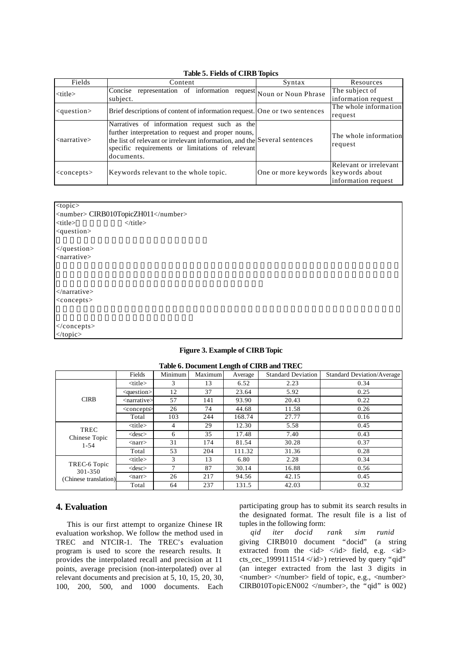|                         | Table 9: I Rius of CHW Topics                                                                                                                                                                                                                       |                                     |                                               |
|-------------------------|-----------------------------------------------------------------------------------------------------------------------------------------------------------------------------------------------------------------------------------------------------|-------------------------------------|-----------------------------------------------|
| Fields                  | Content                                                                                                                                                                                                                                             | Syntax                              | Resources                                     |
| <title></title>         | representation of information<br>Concise<br>subject.                                                                                                                                                                                                | request Noun or Noun Phrase         | The subject of<br>information request         |
| $<$ question $>$        | Brief descriptions of content of information request. One or two sentences                                                                                                                                                                          |                                     | The whole information<br>request              |
| <narrative></narrative> | Narratives of information request such as the<br>further interpretation to request and proper nouns,<br>the list of relevant or irrelevant information, and the Several sentences<br>specific requirements or limitations of relevant<br>documents. |                                     | The whole information<br>request              |
| $<$ concepts $>$        | Keywords relevant to the whole topic.                                                                                                                                                                                                               | One or more keywords keywords about | Relevant or irrelevant<br>information request |

# **Table 5. Fields of CIRB Topics**

| <number> CIRB010TopicZH011</number> |
|-------------------------------------|
| $\langle$ title>                    |
|                                     |
|                                     |
|                                     |
|                                     |
|                                     |

#### **Figure 3. Example of CIRB Topic**

| Table 0. Document Length of CIRD and TREC         |                             |         |         |         |                           |                                   |
|---------------------------------------------------|-----------------------------|---------|---------|---------|---------------------------|-----------------------------------|
|                                                   | Fields                      | Minimum | Maximum | Average | <b>Standard Deviation</b> | <b>Standard Deviation/Average</b> |
|                                                   | $<$ title $>$               | 3       | 13      | 6.52    | 2.23                      | 0.34                              |
|                                                   | $question$                  | 12      | 37      | 23.64   | 5.92                      | 0.25                              |
| <b>CIRB</b>                                       | <narrative></narrative>     | 57      | 141     | 93.90   | 20.43                     | 0.22                              |
|                                                   | $\alpha$ concept $\epsilon$ | 26      | 74      | 44.68   | 11.58                     | 0.26                              |
|                                                   | Total                       | 103     | 244     | 168.74  | 27.77                     | 0.16                              |
| <b>TREC</b><br>Chinese Topic                      | $<$ title $>$               | 4       | 29      | 12.30   | 5.58                      | 0.45                              |
|                                                   | $<$ desc $>$                | 6       | 35      | 17.48   | 7.40                      | 0.43                              |
| $1 - 54$                                          | $<$ narr $>$                | 31      | 174     | 81.54   | 30.28                     | 0.37                              |
|                                                   | Total                       | 53      | 204     | 111.32  | 31.36                     | 0.28                              |
|                                                   | $<$ title $>$               | 3       | 13      | 6.80    | 2.28                      | 0.34                              |
| TREC-6 Topic<br>301-350<br>(Chinese translation). | $<$ desc $>$                | 7       | 87      | 30.14   | 16.88                     | 0.56                              |
|                                                   | $<$ narr $>$                | 26      | 217     | 94.56   | 42.15                     | 0.45                              |
|                                                   | Total                       | 64      | 237     | 131.5   | 42.03                     | 0.32                              |

### **Table 6. Document Length of CIRB and TREC**

### **4. Evaluation**

This is our first attempt to organize Chinese IR evaluation workshop. We follow the method used in TREC and NTCIR-1. The TREC's evaluation program is used to score the research results. It provides the interpolated recall and precision at 11 points, average precision (non-interpolated) over al relevant documents and precision at 5, 10, 15, 20, 30, 100, 200, 500, and 1000 documents. Each

participating group has to submit its search results in the designated format. The result file is a list of tuples in the following form:

*qid iter docid rank sim runid* giving CIRB010 document "docid" (a string extracted from the  $\langle id \rangle$   $\langle id \rangle$  field, e.g.  $\langle id \rangle$ cts\_cec\_1999111514  $\langle \text{id} \rangle$  retrieved by query "qid" (an integer extracted from the last 3 digits in  $\langle$ number>  $\langle$ /number> field of topic, e.g.,  $\langle$ number> CIRB010TopicEN002 </number>, the "qid" is 002)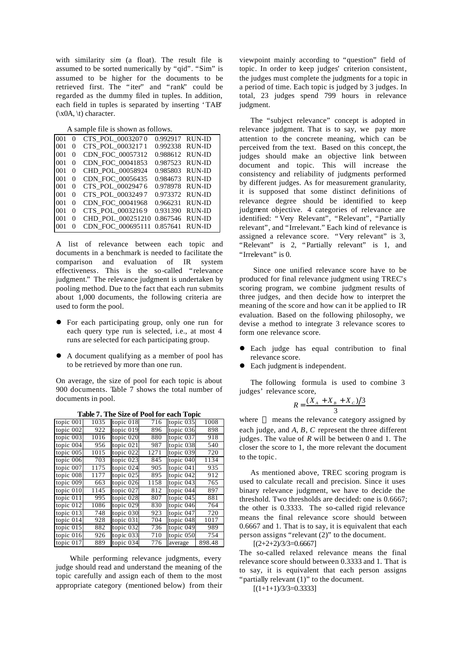with similarity *sim* (a float). The result file is assumed to be sorted numerically by "qid". "Sim" is assumed to be higher for the documents to be retrieved first. The "iter" and "rank" could be regarded as the dummy filed in tuples. In addition, each field in tuples is separated by inserting 'TAB'  $(\x0A, \t)$  character.

A sample file is shown as follows.

| 001 | $\theta$ | CTS POL 00032070  | 0.992917 RUN-ID |               |
|-----|----------|-------------------|-----------------|---------------|
| 001 | 0        | CTS POL 00032171  | 0.992338        | <b>RUN-ID</b> |
| 001 | 0        | CDN FOC 00057312  | 0.988612 RUN-ID |               |
| 001 | 0        | CDN FOC 00041853  | 0.987523        | RUN-ID        |
| 001 | 0        | CHD POL 00058924  | 0.985803        | RUN-ID        |
| 001 | 0        | CDN FOC 00056435  | 0.984673        | RUN-ID        |
| 001 | 0        | CTS POL 00029476  | 0.978978        | RUN-ID        |
| 001 | 0        | CTS POL 00032497  | 0.973372        | RUN-ID        |
| 001 | 0        | CDN FOC 00041968  | 0.966231        | RUN-ID        |
| 001 | 0        | CTS POL 00032169  | 0.931390        | RUN-ID        |
| 001 | 0        | CHD_POL_000251210 | 0.867546        | <b>RUN-ID</b> |
| 001 |          | CDN FOC 000695111 | 0.857641        | RUN-ID        |

A list of relevance between each topic and documents in a benchmark is needed to facilitate the comparison and evaluation of IR system effectiveness. This is the so-called "relevance judgment." The relevance judgment is undertaken by pooling method. Due to the fact that each run submits about 1,000 documents, the following criteria are used to form the pool.

- For each participating group, only one run for each query type run is selected, i.e., at most 4 runs are selected for each participating group.
- A document qualifying as a member of pool has to be retrieved by more than one run.

On average, the size of pool for each topic is about 900 documents. Table 7 shows the total number of documents in pool.

**Table 7. The Size of Pool for each Topic**

|           |      | <b>1 avic 7, 1 He Size 01 1 001 101</b> |      | each Topic  |        |
|-----------|------|-----------------------------------------|------|-------------|--------|
| topic 001 | 1035 | topic 018                               | 716  | topic 035   | 1008   |
| topic 002 | 922  | topic 019                               | 896  | topic 036   | 898    |
| topic 003 | 1016 | topic 020                               | 880  | topic 037   | 918    |
| topic 004 | 956  | topic 021                               | 987  | topic 038   | 540    |
| topic 005 | 1015 | topic 022                               | 1271 | topic 039   | 720    |
| topic 006 | 703  | topic 023                               | 845  | topic 040   | 1134   |
| topic 007 | 1175 | topic 024                               | 905  | topic 041   | 935    |
| topic 008 | 1177 | topic 025                               | 895  | topic 042   | 912    |
| topic 009 | 663  | topic 026                               | 1158 | topic 043   | 765    |
| topic 010 | 1145 | topic 027                               | 812  | topic 044   | 897    |
| topic 011 | 995  | topic 028                               | 807  | topic 045   | 881    |
| topic 012 | 1086 | topic 029                               | 830  | topic 046   | 764    |
| topic 013 | 748  | topic 030                               | 923  | topic $047$ | 720    |
| topic 014 | 928  | topic 031                               | 704  | topic 048   | 1017   |
| topic 015 | 882  | topic 032                               | 736  | topic 049   | 989    |
| topic 016 | 926  | topic 033                               | 710  | topic 050   | 754    |
| topic 017 | 889  | topic 034                               | 776  | average     | 898.48 |

While performing relevance judgments, every judge should read and understand the meaning of the topic carefully and assign each of them to the most appropriate category (mentioned below) from their

viewpoint mainly according to "question" field of topic. In order to keep judges' criterion consistent, the judges must complete the judgments for a topic in a period of time. Each topic is judged by 3 judges. In total, 23 judges spend 799 hours in relevance judgment.

The "subject relevance" concept is adopted in relevance judgment. That is to say, we pay more attention to the concrete meaning, which can be perceived from the text. Based on this concept, the judges should make an objective link between document and topic. This will increase the consistency and reliability of judgments performed by different judges. As for measurement granularity, it is supposed that some distinct definitions of relevance degree should be identified to keep judgment objective. 4 categories of relevance are identified: "Very Relevant", "Relevant", "Partially relevant", and "Irrelevant." Each kind of relevance is assigned a relevance score. "Very relevant" is 3, "Relevant" is 2, "Partially relevant" is 1, and "Irrelevant" is 0.

Since one unified relevance score have to be produced for final relevance judgment using TREC's scoring program, we combine judgment results of three judges, and then decide how to interpret the meaning of the score and how can it be applied to IR evaluation. Based on the following philosophy, we devise a method to integrate 3 relevance scores to form one relevance score.

- Each judge has equal contribution to final relevance score.
- Each judgment is independent.

The following formula is used to combine 3 judges' relevance score,

$$
R = \frac{(X_A + X_B + X_C)/3}{3}
$$

where means the relevance category assigned by each judge, and *A*, *B*, *C* represent the three different judges. The value of *R* will be between 0 and 1. The closer the score to 1, the more relevant the document to the topic.

As mentioned above, TREC scoring program is used to calculate recall and precision. Since it uses binary relevance judgment, we have to decide the threshold. Two thresholds are decided: one is 0.6667; the other is 0.3333. The so-called rigid relevance means the final relevance score should between 0.6667 and 1. That is to say, it is equivalent that each person assigns "relevant (2)" to the document.

 $[(2+2+2)/3/3=0.6667]$ 

The so-called relaxed relevance means the final relevance score should between 0.3333 and 1. That is to say, it is equivalent that each person assigns "partially relevant  $(1)$ " to the document.

 $[(1+1+1)/3/3=0.3333]$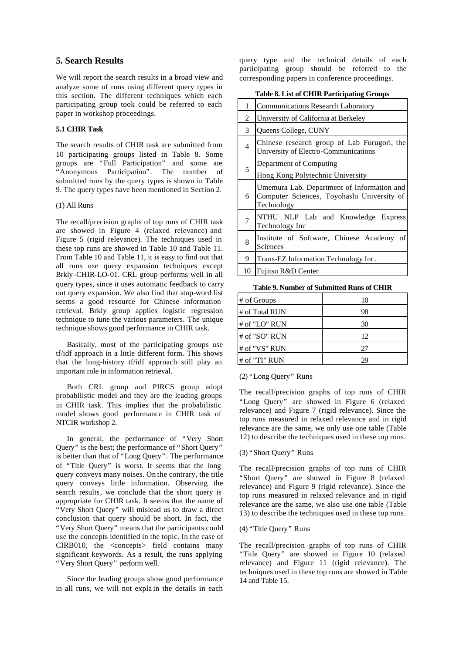### **5. Search Results**

We will report the search results in a broad view and analyze some of runs using different query types in this section. The different techniques which each participating group took could be referred to each paper in workshop proceedings.

### **5.1 CHIR Task**

The search results of CHIR task are submitted from 10 participating groups listed in Table 8. Some groups are "Full Participation" and some are "Anonymous Participation". The number of submitted runs by the query types is shown in Table 9. The query types have been mentioned in Section 2.

#### (1) All Runs

The recall/precision graphs of top runs of CHIR task are showed in Figure 4 (relaxed relevance) and Figure 5 (rigid relevance). The techniques used in these top runs are showed in Table 10 and Table 11. From Table 10 and Table 11, it is easy to find out that all runs use query expansion techniques except Brkly-CHIR-LO-01. CRL group performs well in all query types, since it uses automatic feedback to carry out query expansion. We also find that stop-word list seems a good resource for Chinese information retrieval. Brkly group applies logistic regression technique to tune the various parameters. The unique technique shows good performance in CHIR task.

Basically, most of the participating groups use tf/idf approach in a little different form. This shows that the long-history tf/idf approach still play an important role in information retrieval.

Both CRL group and PIRCS group adopt probabilistic model and they are the leading groups in CHIR task. This implies that the probabilistic model shows good performance in CHIR task of NTCIR workshop 2.

In general, the performance of "Very Short Query" is the best; the performance of "Short Query" is better than that of "Long Query". The performance of "Title Query" is worst. It seems that the long query conveys many noises. On the contrary, the title query conveys little information. Observing the search results, we conclude that the short query is appropriate for CHIR task. It seems that the name of "Very Short Query" will mislead us to draw a direct conclusion that query should be short. In fact, the "Very Short Query" means that the participants could use the concepts identified in the topic. In the case of  $CIRB010$ , the  $\langle\text{concepts}\rangle$  field contains many significant keywords. As a result, the runs applying "Very Short Query" perform well.

Since the leading groups show good performance in all runs, we will not expla in the details in each

query type and the technical details of each participating group should be referred to the corresponding papers in conference proceedings.

**Table 8. List of CHIR Participating Groups**

| 1              | <b>Communications Research Laboratory</b>                                                              |
|----------------|--------------------------------------------------------------------------------------------------------|
| 2              | University of California at Berkeley                                                                   |
| 3              | Queens College, CUNY                                                                                   |
| $\overline{4}$ | Chinese research group of Lab Furugori, the<br>University of Electro-Communications                    |
| 5              | Department of Computing<br>Hong Kong Polytechnic University                                            |
| 6              | Umemura Lab. Department of Information and<br>Computer Sciences, Toyohashi University of<br>Technology |
| 7              | NTHU NLP Lab and Knowledge Express<br>Technology Inc                                                   |
| 8              | Institute of Software, Chinese Academy<br><sub>of</sub><br>Sciences                                    |
| 9              | Trans-EZ Information Technology Inc.                                                                   |
| 10             | Fujitsu R&D Center                                                                                     |

**Table 9. Number of Submitted Runs of CHIR**

| # of Groups    | 10 |
|----------------|----|
| # of Total RUN | 98 |
| # of "LO" RUN  | 30 |
| # of "SO" RUN  | 12 |
| # of "VS" RUN  | 27 |
| # of "TI" RUN  |    |

#### (2) "Long Query" Runs

The recall/precision graphs of top runs of CHIR "Long Query" are showed in Figure 6 (relaxed relevance) and Figure 7 (rigid relevance). Since the top runs measured in relaxed relevance and in rigid relevance are the same, we only use one table (Table 12) to describe the techniques used in these top runs.

### (3) "Short Query" Runs

The recall/precision graphs of top runs of CHIR "Short Query" are showed in Figure 8 (relaxed relevance) and Figure 9 (rigid relevance). Since the top runs measured in relaxed relevance and in rigid relevance are the same, we also use one table (Table 13) to describe the techniques used in these top runs.

#### (4) "Title Query" Runs

The recall/precision graphs of top runs of CHIR "Title Query" are showed in Figure 10 (relaxed relevance) and Figure 11 (rigid relevance). The techniques used in these top runs are showed in Table 14 and Table 15.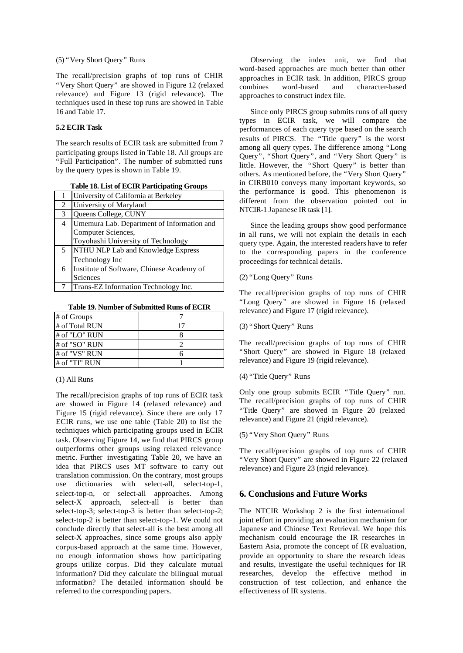#### (5) "Very Short Query" Runs

The recall/precision graphs of top runs of CHIR "Very Short Query" are showed in Figure 12 (relaxed relevance) and Figure 13 (rigid relevance). The techniques used in these top runs are showed in Table 16 and Table 17.

# **5.2 ECIR Task**

The search results of ECIR task are submitted from 7 participating groups listed in Table 18. All groups are "Full Participation". The number of submitted runs by the query types is shown in Table 19.

**Table 18. List of ECIR Participating Groups**

|   | University of California at Berkeley       |
|---|--------------------------------------------|
| 2 | University of Maryland                     |
| 3 | Queens College, CUNY                       |
| 4 | Umemura Lab. Department of Information and |
|   | Computer Sciences,                         |
|   | Toyohashi University of Technology         |
| 5 | NTHU NLP Lab and Knowledge Express         |
|   | Technology Inc                             |
| 6 | Institute of Software, Chinese Academy of  |
|   | Sciences                                   |
|   | Trans-EZ Information Technology Inc.       |

**Table 19. Number of Submitted Runs of ECIR** 

| # of Groups    |  |
|----------------|--|
| # of Total RUN |  |
| # of "LO" RUN  |  |
| # of "SO" RUN  |  |
| # of "VS" RUN  |  |
| # of "TI" RUN  |  |

### (1) All Runs

The recall/precision graphs of top runs of ECIR task are showed in Figure 14 (relaxed relevance) and Figure 15 (rigid relevance). Since there are only 17 ECIR runs, we use one table (Table 20) to list the techniques which participating groups used in ECIR task. Observing Figure 14, we find that PIRCS group outperforms other groups using relaxed relevance metric. Further investigating Table 20, we have an idea that PIRCS uses MT software to carry out translation commission. On the contrary, most groups use dictionaries with select-all, select-top-1, select-top-n, or select-all approaches. Among select-X approach, select-all is better than select-top-3; select-top-3 is better than select-top-2; select-top-2 is better than select-top-1. We could not conclude directly that select-all is the best among all select-X approaches, since some groups also apply corpus-based approach at the same time. However, no enough information shows how participating groups utilize corpus. Did they calculate mutual information? Did they calculate the bilingual mutual information? The detailed information should be referred to the corresponding papers.

Observing the index unit, we find that word-based approaches are much better than other approaches in ECIR task. In addition, PIRCS group combines word-based and character-based approaches to construct index file.

Since only PIRCS group submits runs of all query types in ECIR task, we will compare the performances of each query type based on the search results of PIRCS. The "Title query" is the worst among all query types. The difference among "Long Query", "Short Query", and "Very Short Query" is little. However, the "Short Query" is better than others. As mentioned before, the "Very Short Query" in CIRB010 conveys many important keywords, so the performance is good. This phenomenon is different from the observation pointed out in NTCIR-1 Japanese IR task [1].

Since the leading groups show good performance in all runs, we will not explain the details in each query type. Again, the interested readers have to refer to the corresponding papers in the conference proceedings for technical details.

### (2) "Long Query" Runs

The recall/precision graphs of top runs of CHIR "Long Query" are showed in Figure 16 (relaxed relevance) and Figure 17 (rigid relevance).

### (3) "Short Query" Runs

The recall/precision graphs of top runs of CHIR "Short Query" are showed in Figure 18 (relaxed relevance) and Figure 19 (rigid relevance).

#### (4) "Title Query" Runs

Only one group submits ECIR "Title Query" run. The recall/precision graphs of top runs of CHIR "Title Query" are showed in Figure 20 (relaxed relevance) and Figure 21 (rigid relevance).

#### (5) "Very Short Query" Runs

The recall/precision graphs of top runs of CHIR "Very Short Query" are showed in Figure 22 (relaxed relevance) and Figure 23 (rigid relevance).

### **6. Conclusions and Future Works**

The NTCIR Workshop 2 is the first international joint effort in providing an evaluation mechanism for Japanese and Chinese Text Retrieval. We hope this mechanism could encourage the IR researches in Eastern Asia, promote the concept of IR evaluation, provide an opportunity to share the research ideas and results, investigate the useful techniques for IR researches, develop the effective method in construction of test collection, and enhance the effectiveness of IR systems.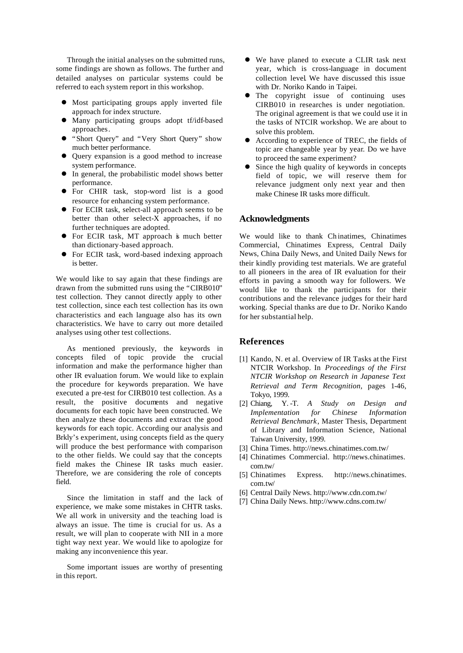Through the initial analyses on the submitted runs, some findings are shown as follows. The further and detailed analyses on particular systems could be referred to each system report in this workshop.

- $\bullet$  Most participating groups apply inverted file approach for index structure.
- l Many participating groups adopt tf/idf-based approaches.
- l "Short Query" and "Very Short Query" show much better performance.
- Query expansion is a good method to increase system performance.
- $\bullet$  In general, the probabilistic model shows better performance.
- For CHIR task, stop-word list is a good resource for enhancing system performance.
- **•** For ECIR task, select-all approach seems to be better than other select- $\overline{X}$  approaches, if no further techniques are adopted.
- **•** For ECIR task, MT approach is much better than dictionary-based approach.
- For ECIR task, word-based indexing approach is better.

We would like to say again that these findings are drawn from the submitted runs using the "CIRB010" test collection. They cannot directly apply to other test collection, since each test collection has its own characteristics and each language also has its own characteristics. We have to carry out more detailed analyses using other test collections.

As mentioned previously, the keywords in concepts filed of topic provide the crucial information and make the performance higher than other IR evaluation forum. We would like to explain the procedure for keywords preparation. We have executed a pre-test for CIRB010 test collection. As a result, the positive documents and negative documents for each topic have been constructed. We then analyze these documents and extract the good keywords for each topic. According our analysis and Brkly's experiment, using concepts field as the query will produce the best performance with comparison to the other fields. We could say that the concepts field makes the Chinese IR tasks much easier. Therefore, we are considering the role of concepts field.

Since the limitation in staff and the lack of experience, we make some mistakes in CHTR tasks. We all work in university and the teaching load is always an issue. The time is crucial for us. As a result, we will plan to cooperate with NII in a more tight way next year. We would like to apologize for making any inconvenience this year.

Some important issues are worthy of presenting in this report.

- l We have planed to execute a CLIR task next year, which is cross-language in document collection level. We have discussed this issue with Dr. Noriko Kando in Taipei.
- The copyright issue of continuing uses CIRB010 in researches is under negotiation. The original agreement is that we could use it in the tasks of NTCIR workshop. We are about to solve this problem.
- l According to experience of TREC, the fields of topic are changeable year by year. Do we have to proceed the same experiment?
- Since the high quality of keywords in concepts field of topic, we will reserve them for relevance judgment only next year and then make Chinese IR tasks more difficult.

#### **Acknowledgments**

We would like to thank Ch inatimes, Chinatimes Commercial, Chinatimes Express, Central Daily News, China Daily News, and United Daily News for their kindly providing test materials. We are grateful to all pioneers in the area of IR evaluation for their efforts in paving a smooth way for followers. We would like to thank the participants for their contributions and the relevance judges for their hard working. Special thanks are due to Dr. Noriko Kando for her substantial help.

#### **References**

- [1] Kando, N. et al. Overview of IR Tasks at the First NTCIR Workshop. In *Proceedings of the First NTCIR Workshop on Research in Japanese Text Retrieval and Term Recognition*, pages 1-46, Tokyo, 1999.
- [2] Chiang, Y. -T. *A Study on Design and Implementation for Chinese Information Retrieval Benchmark*, Master Thesis, Department of Library and Information Science, National Taiwan University, 1999.
- [3] China Times. http://news.chinatimes.com.tw/
- [4] Chinatimes Commercial. http://news.chinatimes. com.tw/
- [5] Chinatimes Express. http://news.chinatimes. com.tw/
- [6] Central Daily News. http://www.cdn.com.tw/
- [7] China Daily News. http://www.cdns.com.tw/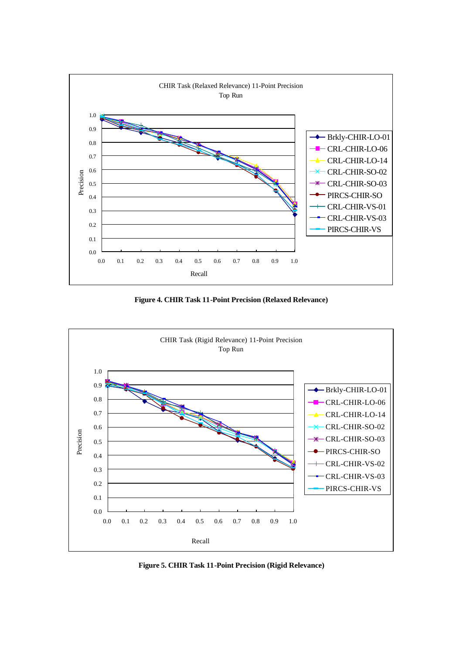

**Figure 4. CHIR Task 11-Point Precision (Relaxed Relevance)**



**Figure 5. CHIR Task 11-Point Precision (Rigid Relevance)**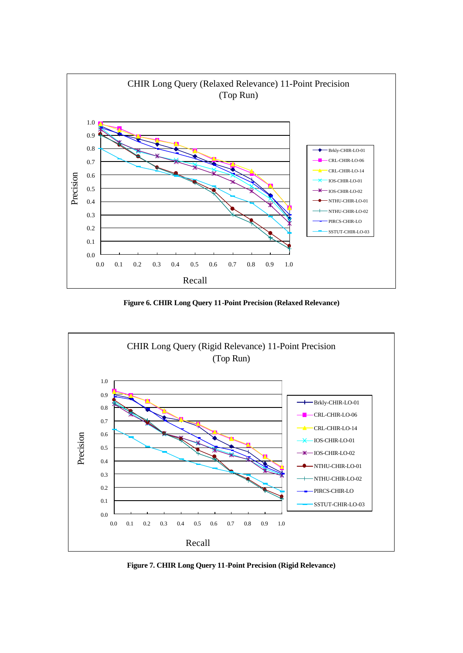

**Figure 6. CHIR Long Query 11-Point Precision (Relaxed Relevance)**



**Figure 7. CHIR Long Query 11-Point Precision (Rigid Relevance)**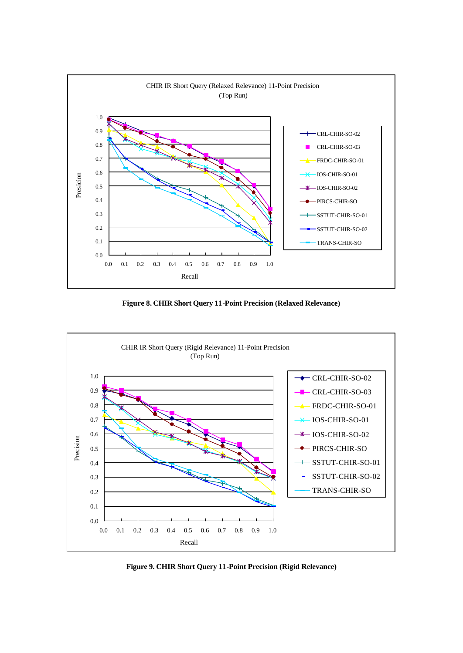

**Figure 8. CHIR Short Query 11-Point Precision (Relaxed Relevance)**



**Figure 9. CHIR Short Query 11-Point Precision (Rigid Relevance)**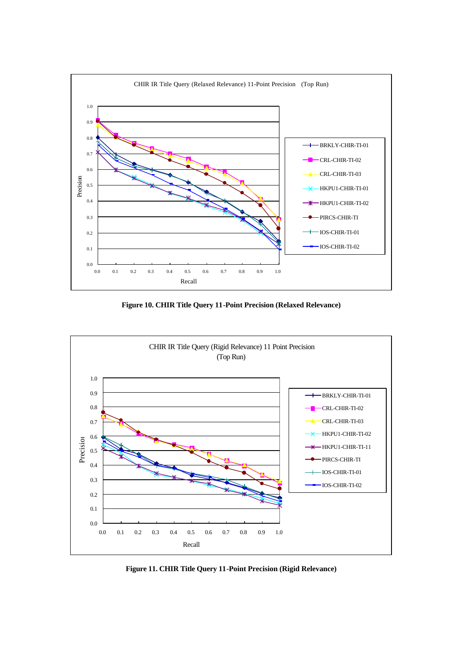

**Figure 10. CHIR Title Query 11-Point Precision (Relaxed Relevance)**



**Figure 11. CHIR Title Query 11-Point Precision (Rigid Relevance)**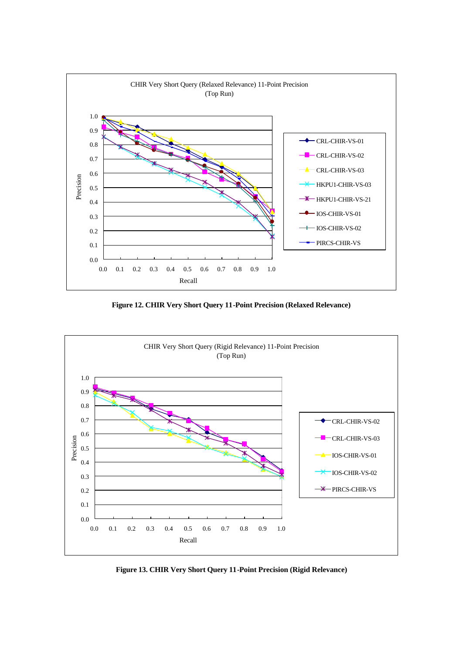

**Figure 12. CHIR Very Short Query 11-Point Precision (Relaxed Relevance)**



**Figure 13. CHIR Very Short Query 11-Point Precision (Rigid Relevance)**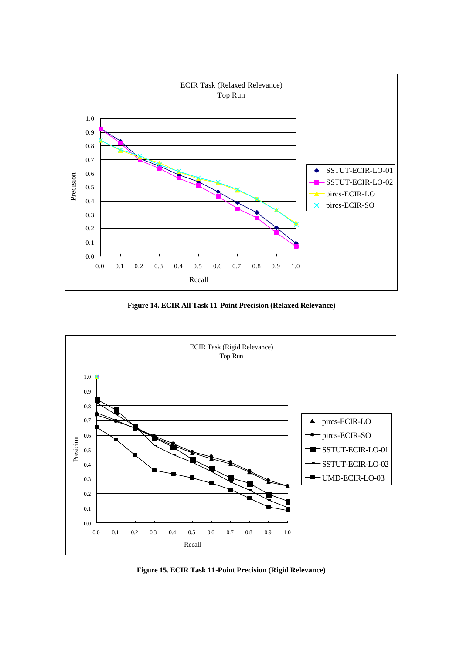

**Figure 14. ECIR All Task 11-Point Precision (Relaxed Relevance)**



**Figure 15. ECIR Task 11-Point Precision (Rigid Relevance)**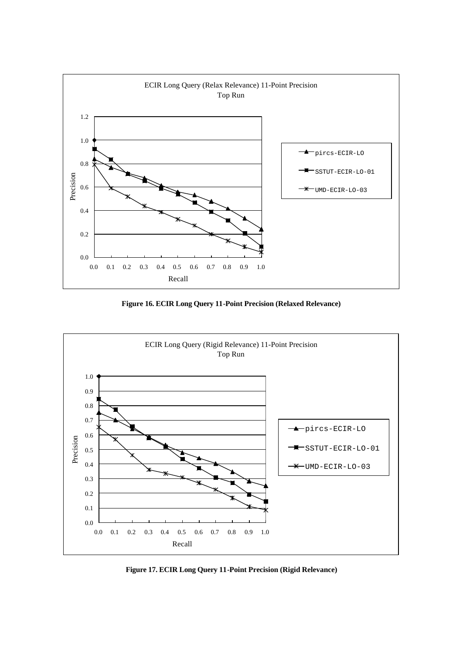

**Figure 16. ECIR Long Query 11-Point Precision (Relaxed Relevance)**



**Figure 17. ECIR Long Query 11-Point Precision (Rigid Relevance)**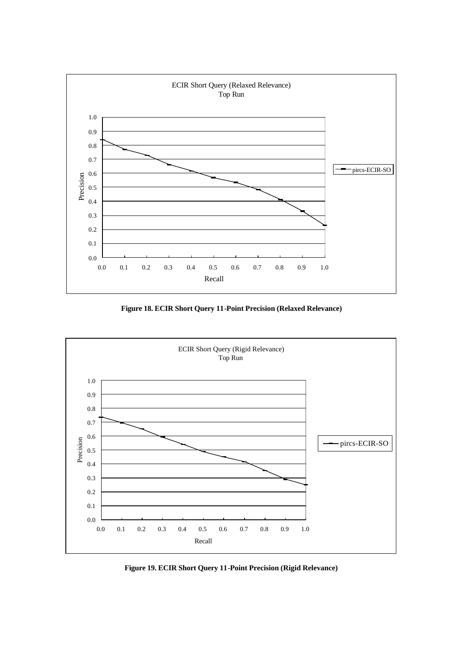

**Figure 18. ECIR Short Query 11-Point Precision (Relaxed Relevance)**



**Figure 19. ECIR Short Query 11-Point Precision (Rigid Relevance)**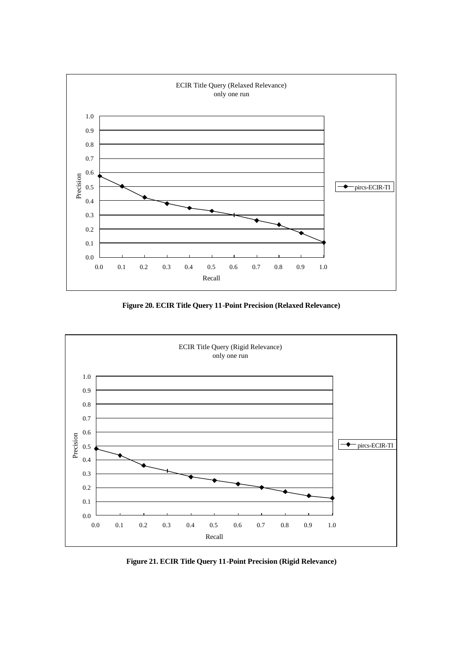

**Figure 20. ECIR Title Query 11-Point Precision (Relaxed Relevance)**



**Figure 21. ECIR Title Query 11-Point Precision (Rigid Relevance)**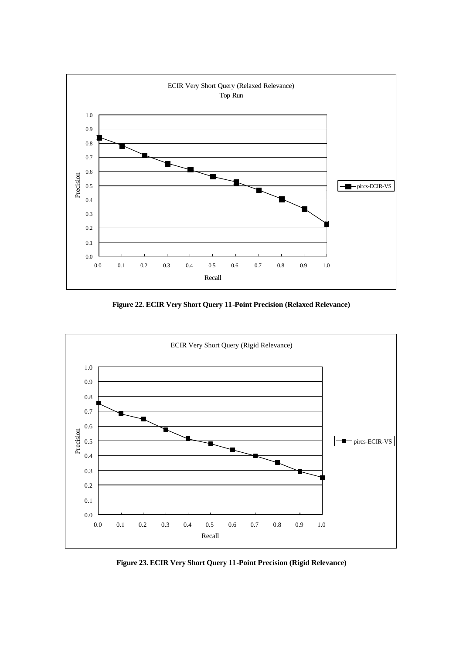

**Figure 22. ECIR Very Short Query 11-Point Precision (Relaxed Relevance)**



**Figure 23. ECIR Very Short Query 11-Point Precision (Rigid Relevance)**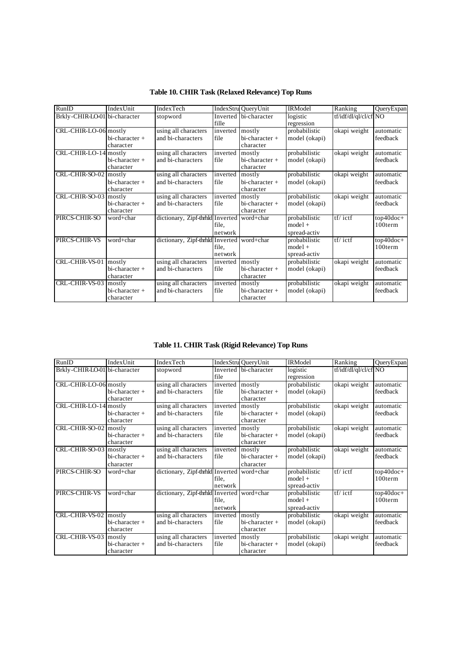| RunID                         | IndexUnit                               | IndexTech                                 |                  | IndexStru QueryUnit                     | <b>IRModel</b>                             | Ranking               | QueryExpan            |
|-------------------------------|-----------------------------------------|-------------------------------------------|------------------|-----------------------------------------|--------------------------------------------|-----------------------|-----------------------|
| Brkly-CHIR-LO-01 bi-character |                                         | stopword                                  | fille            | Inverted bi-character                   | logistic<br>regression                     | tf/idf/dl/ql/cl/cf NO |                       |
| CRL-CHIR-LO-06 mostly         | $bi-character +$<br>character           | using all characters<br>and bi-characters | inverted<br>file | mostly<br>bi-character +<br>character   | probabilistic<br>model (okapi)             | okapi weight          | automatic<br>feedback |
| CRL-CHIR-LO-14 mostly         | bi-character +<br>character             | using all characters<br>and bi-characters | inverted<br>file | mostly<br>bi-character +<br>character   | probabilistic<br>model (okapi)             | okapi weight          | automatic<br>feedback |
| CRL-CHIR-SO-02 mostly         | $bi-character +$<br>character           | using all characters<br>and bi-characters | inverted<br>file | mostly<br>bi-character +<br>character   | probabilistic<br>model (okapi)             | okapi weight          | automatic<br>feedback |
| CRL-CHIR-SO-03 mostly         | $bi-character +$<br>character           | using all characters<br>and bi-characters | inverted<br>file | mostly<br>bi-character +<br>character   | probabilistic<br>model (okapi)             | okapi weight          | automatic<br>feedback |
| PIRCS-CHIR-SO                 | word+char                               | dictionary, Zipf-thrhld Inverted          | file.<br>network | word+char                               | probabilistic<br>$model +$<br>spread-activ | tf/ictf               | top40doc+<br>100term  |
| PIRCS-CHIR-VS                 | word+char                               | dictionary, Zipf-thrhld Inverted          | file.<br>network | word+char                               | probabilistic<br>$model +$<br>spread-activ | $tf/$ ictf            | top40doc+<br>100term  |
| CRL-CHIR-VS-01                | mostly<br>$bi-character +$<br>character | using all characters<br>and bi-characters | inverted<br>file | mostly<br>bi-character +<br>character   | probabilistic<br>model (okapi)             | okapi weight          | automatic<br>feedback |
| CRL-CHIR-VS-03                | mostly<br>$bi-character +$<br>character | using all characters<br>and bi-characters | inverted<br>file | mostly<br>$bi-character +$<br>character | probabilistic<br>model (okapi)             | okapi weight          | automatic<br>feedback |

**Table 10. CHIR Task (Relaxed Relevance) Top Runs**

**Table 11. CHIR Task (Rigid Relevance) Top Runs**

| RunID                         | IndexUnit                             | IndexTech                                 |                         | IndexStru QueryUnit                     | <b>IRModel</b>                             | Ranking                         | QueryExpan            |
|-------------------------------|---------------------------------------|-------------------------------------------|-------------------------|-----------------------------------------|--------------------------------------------|---------------------------------|-----------------------|
| Brkly-CHIR-LO-01 bi-character |                                       | stopword                                  | <b>Inverted</b><br>file | bi-character                            | logistic<br>regression                     | tf/idf/dl/ql/cl/cf NO           |                       |
| CRL-CHIR-LO-06 mostly         | $bi-character +$<br>character         | using all characters<br>and bi-characters | inverted<br>file        | mostly<br>bi-character +<br>character   | probabilistic<br>model (okapi)             | okapi weight                    | automatic<br>feedback |
| CRL-CHIR-LO-14 mostly         | bi-character +<br>character           | using all characters<br>and bi-characters | inverted<br>file        | mostly<br>bi-character +<br>character   | probabilistic<br>model (okapi)             | okapi weight                    | automatic<br>feedback |
| CRL-CHIR-SO-02 mostly         | $bi-character +$<br>character         | using all characters<br>and bi-characters | inverted<br>file        | mostly<br>$bi-character +$<br>character | probabilistic<br>model (okapi)             | okapi weight                    | automatic<br>feedback |
| CRL-CHIR-SO-03 mostly         | $bi-character +$<br>character         | using all characters<br>and bi-characters | inverted<br>file        | mostly<br>bi-character +<br>character   | probabilistic<br>model (okapi)             | okapi weight                    | automatic<br>feedback |
| PIRCS-CHIR-SO                 | word+char                             | dictionary, Zipf-thrhld Inverted          | file.<br>network        | word+char                               | probabilistic<br>$model +$<br>spread-activ | $\overline{tf}/\overline{ictf}$ | top40doc+<br>100term  |
| PIRCS-CHIR-VS                 | word+char                             | dictionary, Zipf-thrhld Inverted          | file,<br>network        | word+char                               | probabilistic<br>$model +$<br>spread-activ | $tf/$ ictf                      | top40doc+<br>100term  |
| CRL-CHIR-VS-02                | mostly<br>bi-character +<br>character | using all characters<br>and bi-characters | inverted<br>file        | mostly<br>bi-character +<br>character   | probabilistic<br>model (okapi)             | okapi weight                    | automatic<br>feedback |
| CRL-CHIR-VS-03                | mostly<br>bi-character +<br>character | using all characters<br>and bi-characters | inverted<br>file        | mostly<br>bi-character +<br>character   | probabilistic<br>model (okapi)             | okapi weight                    | automatic<br>feedback |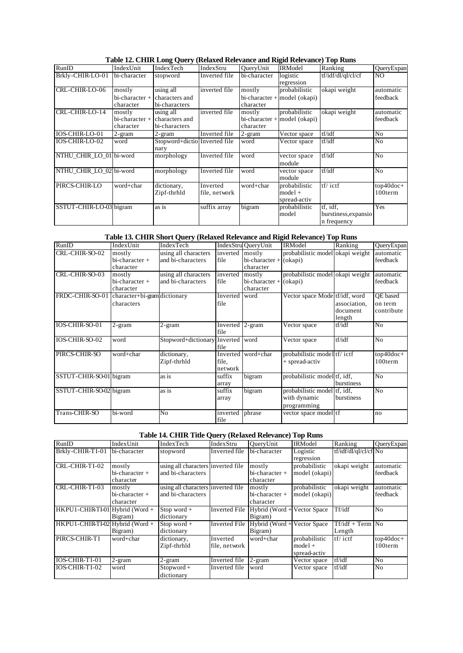| RunID                   | IndexUnit                             | IndexTech                                    | IndexStru                 | QueryUnit           | <b>IRModel</b>                                  | Ranking                                         | QueryExpan            |
|-------------------------|---------------------------------------|----------------------------------------------|---------------------------|---------------------|-------------------------------------------------|-------------------------------------------------|-----------------------|
| Brkly-CHIR-LO-01        | bi-character                          | stopword                                     | Inverted file             | bi-character        | logistic<br>regression                          | tf/idf/dl/ql/cl/cf                              | NO.                   |
| CRL-CHIR-LO-06          | mostly<br>bi-character +<br>character | using all<br>characters and<br>bi-characters | inverted file             | mostly<br>character | probabilistic<br>$bi-character + model (okapi)$ | okapi weight                                    | automatic<br>feedback |
| CRL-CHIR-LO-14          | mostly<br>bi-character +<br>character | using all<br>characters and<br>bi-characters | inverted file             | mostly<br>character | probabilistic<br>$bi-character + model (okapi)$ | okapi weight                                    | automatic<br>feedback |
| <b>IOS-CHIR-LO-01</b>   | 2-gram                                | 2-gram                                       | Inverted file             | 2-gram              | Vector space                                    | tf/idf                                          | No                    |
| <b>IOS-CHIR-LO-02</b>   | word                                  | Stopword+dictio Inverted file<br>nary        |                           | word                | Vector space                                    | tf/idf                                          | N <sub>o</sub>        |
| NTHU CHIR LO 01 bi-word |                                       | morphology                                   | Inverted file             | word                | vector space<br>module                          | tf/idf                                          | No                    |
| NTHU CHIR LO 02 bi-word |                                       | morphology                                   | Inverted file             | word                | vector space<br>module                          | tf/idf                                          | N <sub>o</sub>        |
| PIRCS-CHIR-LO           | word+char                             | dictionary,<br>Zipf-thrhld                   | Inverted<br>file, network | word+char           | probabilistic<br>$model +$<br>spread-activ      | $tf/$ ictf                                      | top40doc+<br>100term  |
| SSTUT-CHIR-LO-03 bigram |                                       | as is                                        | suffix array              | bigram              | probabilistic<br>model                          | tf. idf.<br>burstiness, expansio<br>n frequency | Yes                   |

**Table 12. CHIR Long Query (Relaxed Relevance and Rigid Relevance) Top Runs**

# **Table 13. CHIR Short Query (Relaxed Relevance and Rigid Relevance) Top Runs**

| RunID                   | IndexUnit                                  | IndexTech                                 |                         | IndexStru OueryUnit                             | <b>IRModel</b>                                              | Ranking                            | QueryExpan                        |
|-------------------------|--------------------------------------------|-------------------------------------------|-------------------------|-------------------------------------------------|-------------------------------------------------------------|------------------------------------|-----------------------------------|
| CRL-CHIR-SO-02          | mostly<br>$bi-character +$<br>character    | using all characters<br>and bi-characters | inverted<br>file        | mostly<br>$bi-character + (okapi)$<br>character | probabilistic model okapi weight                            |                                    | automatic<br>feedback             |
| CRL-CHIR-SO-03          | mostly<br>$bi-character +$<br>character    | using all characters<br>and bi-characters | inverted<br>file        | mostly<br>bi-character +<br>character           | probabilistic model okapi weight<br>(okapi)                 |                                    | automatic<br>feedback             |
| FRDC-CHIR-SO-01         | character+bi-gram dictionary<br>characters |                                           | Inverted  <br>file      | word                                            | Vector space Mode tf/idf, word                              | association,<br>document<br>length | OE based<br>on term<br>contribute |
| IOS-CHIR-SO-01          | $2$ -gram                                  | 2-gram                                    | Inverted 2-gram<br>file |                                                 | Vector space                                                | tf/idf                             | No                                |
| IOS-CHIR-SO-02          | word                                       | Stopword+dictionary Inverted word         | file                    |                                                 | Vector space                                                | tf/idf                             | N <sub>o</sub>                    |
| PIRCS-CHIR-SO           | word+char                                  | dictionary,<br>Zipf-thrhld                | file.<br>network        | Inverted word+char                              | probabilistic model tf/ ictf<br>+ spread-activ              |                                    | $top40doc+$<br>100term            |
| SSTUT-CHIR-SO-01 bigram |                                            | as is                                     | suffix<br>array         | bigram                                          | probabilistic model tf, idf,                                | burstiness                         | N <sub>o</sub>                    |
| SSTUT-CHIR-SO-02 bigram |                                            | as is                                     | suffix<br>array         | bigram                                          | probabilistic model tf, idf,<br>with dynamic<br>programming | burstiness                         | No                                |
| Trans-CHIR-SO           | bi-word                                    | No                                        | inverted<br>file        | phrase                                          | vector space model tf                                       |                                    | no                                |

# **Table 14. CHIR Title Query (Relaxed Relevance) Top Runs**

| RunID                           | IndexUnit        | IndexTech                          | IndexStru            | QueryUnit                   | <b>IRModel</b> | Ranking               | QueryExpan     |
|---------------------------------|------------------|------------------------------------|----------------------|-----------------------------|----------------|-----------------------|----------------|
| Brkly-CHIR-TI-01                | bi-character     | stopword                           | Inverted file        | bi-character                | Logistic       | tf/idf/dl/ql/cl/cf No |                |
|                                 |                  |                                    |                      |                             | regression     |                       |                |
| CRL-CHIR-TI-02                  | mostly           | using all characters inverted file |                      | mostly                      | probabilistic  | okapi weight          | automatic      |
|                                 | bi-character +   | and bi-characters                  |                      | bi-character +              | model (okapi)  |                       | feedback       |
|                                 | character        |                                    |                      | character                   |                |                       |                |
| CRL-CHIR-TI-03                  | mostly           | using all characters inverted file |                      | mostly                      | probabilistic  | okapi weight          | automatic      |
|                                 | $bi-character +$ | and bi-characters                  |                      | bi-character +              | model (okapi)  |                       | feedback       |
|                                 | character        |                                    |                      | character                   |                |                       |                |
| HKPU1-CHIR-TI-01 Hybrid (Word + |                  | Stop word $+$                      | <b>Inverted File</b> | Hybrid (Word +              | Vector Space   | Tf/idf                | N <sub>o</sub> |
|                                 | Bigram)          | dictionary                         |                      | Bigram)                     |                |                       |                |
| HKPU1-CHIR-TI-02 Hybrid (Word + |                  | Stop word $+$                      | <b>Inverted File</b> | Hybrid (Word + Vector Space |                | $Tf/ idf + Term$ No   |                |
|                                 | Bigram)          | dictionary                         |                      | Bigram)                     |                | Length                |                |
| PIRCS-CHIR-TI                   | word+char        | dictionary,                        | Inverted             | word+char                   | probabilistic  | $tf/$ ictf            | top40doc+      |
|                                 |                  | Zipf-thrhld                        | file, network        |                             | $model +$      |                       | 100term        |
|                                 |                  |                                    |                      |                             | spread-activ   |                       |                |
| IOS-CHIR-TI-01                  | 2-gram           | $2$ -gram                          | Inverted file        | 2-gram                      | Vector space   | tf/idf                | No             |
| IOS-CHIR-TI-02                  | word             | $Stopword +$                       | Inverted file        | word                        | Vector space   | tf/idf                | N <sub>o</sub> |
|                                 |                  | dictionary                         |                      |                             |                |                       |                |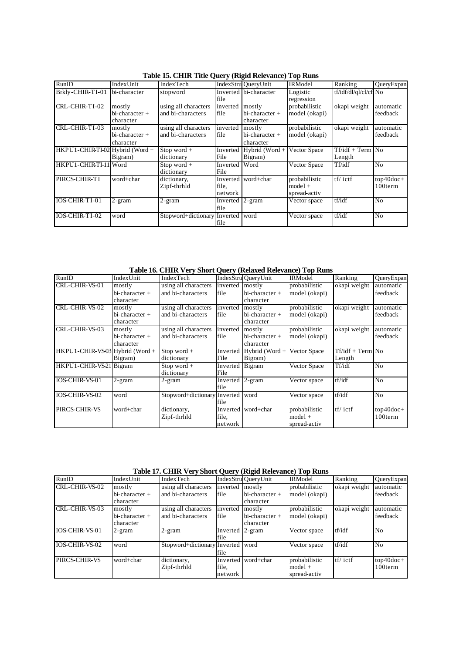|                                 |                  |                              |                 | $\mathbf{x}$ and $\mathbf{y}$ (and an according to the second |                |                       |                |
|---------------------------------|------------------|------------------------------|-----------------|---------------------------------------------------------------|----------------|-----------------------|----------------|
| RunID                           | IndexUnit        | IndexTech                    |                 | IndexStru QueryUnit                                           | <b>IRModel</b> | Ranking               | QueryExpan     |
| Brkly-CHIR-TI-01 bi-character   |                  | stopword                     |                 | Inverted bi-character                                         | Logistic       | tf/idf/dl/ql/cl/cf No |                |
|                                 |                  |                              | file            |                                                               | regression     |                       |                |
| CRL-CHIR-TI-02                  | mostly           | using all characters         | inverted        | mostly                                                        | probabilistic  | okapi weight          | automatic      |
|                                 | $bi-character +$ | and bi-characters            | file            | bi-character +                                                | model (okapi)  |                       | feedback       |
|                                 | character        |                              |                 | character                                                     |                |                       |                |
| CRL-CHIR-TI-03                  | mostly           | using all characters         | inverted        | mostly                                                        | probabilistic  | okapi weight          | automatic      |
|                                 | $bi-character +$ | and bi-characters            | file            | $bi-character +$                                              | model (okapi)  |                       | feedback       |
|                                 | character        |                              |                 | character                                                     |                |                       |                |
| HKPU1-CHIR-TI-02 Hybrid (Word + |                  | Stop word $+$                | Inverted        | Hybrid (Word $+$                                              | Vector Space   | $Tf/idf + Term$ No    |                |
|                                 | Bigram)          | dictionary                   | File            | Bigram)                                                       |                | Length                |                |
| HKPU1-CHIR-TI-11 Word           |                  | Stop word +                  | Inverted        | Word                                                          | Vector Space   | Tf/idf                | N <sub>o</sub> |
|                                 |                  | dictionary                   | File            |                                                               |                |                       |                |
| PIRCS-CHIR-TI                   | word+char        | dictionary,                  | Inverted        | word+char                                                     | probabilistic  | $tf/$ ictf            | $top40doc+$    |
|                                 |                  | Zipf-thrhld                  | file.           |                                                               | $model +$      |                       | 100term        |
|                                 |                  |                              | network         |                                                               | spread-activ   |                       |                |
| IOS-CHIR-TI-01                  | $2$ -gram        | $2-gram$                     | Inverted 2-gram |                                                               | Vector space   | tf/idf                | No             |
|                                 |                  |                              | file            |                                                               |                |                       |                |
| IOS-CHIR-TI-02                  | word             | Stopword+dictionary Inverted |                 | word                                                          | Vector space   | tf/idf                | No             |
|                                 |                  |                              | file            |                                                               |                |                       |                |

**Table 15. CHIR Title Query (Rigid Relevance) Top Runs**

**Table 16. CHIR Very Short Query (Relaxed Relevance) Top Runs**

| RunID                           | IndexUnit                               | IndexTech                                 |                                                                                               | IndexStru QueryUnit                     | <b>IRModel</b>                             | Ranking                      | QueryExpan             |
|---------------------------------|-----------------------------------------|-------------------------------------------|-----------------------------------------------------------------------------------------------|-----------------------------------------|--------------------------------------------|------------------------------|------------------------|
| CRL-CHIR-VS-01                  | mostly<br>$bi-character +$<br>character | using all characters<br>and bi-characters | inverted<br>file                                                                              | mostly<br>$bi-character +$<br>character | probabilistic<br>model (okapi)             | okapi weight                 | automatic<br>feedback  |
| CRL-CHIR-VS-02                  | mostly<br>bi-character +<br>character   | using all characters<br>and bi-characters | probabilistic<br>inverted<br>mostly<br>$bi-character +$<br>file<br>model (okapi)<br>character |                                         |                                            | okapi weight                 | automatic<br>feedback  |
| CRL-CHIR-VS-03                  | mostly<br>$bi-character +$<br>character | using all characters<br>and bi-characters | inverted<br>file                                                                              | mostly<br>$bi-character +$<br>character | probabilistic<br>model (okapi)             | okapi weight                 | automatic<br>feedback  |
| HKPU1-CHIR-VS-03 Hybrid (Word + | Bigram)                                 | Stop word $+$<br>dictionary               | Inverted<br>File                                                                              | Hybrid (Word $+$<br>Bigram)             | Vector Space                               | $Tf/idf + Term$ No<br>Length |                        |
| HKPU1-CHIR-VS21 Bigram          |                                         | $Stop word +$<br>dictionary               | Inverted Bigram<br>File                                                                       |                                         | <b>Vector Space</b>                        | Tf/idf                       | N <sub>o</sub>         |
| IOS-CHIR-VS-01                  | $2-gram$                                | 2-gram                                    | Inverted 2-gram<br>file                                                                       |                                         | Vector space                               | tf/idf                       | N <sub>o</sub>         |
| IOS-CHIR-VS-02                  | word                                    | Stopword+dictionary Inverted word         | file                                                                                          |                                         | Vector space                               | tf/idf                       | N <sub>o</sub>         |
| PIRCS-CHIR-VS                   | word+char                               | dictionary,<br>Zipf-thrhld                | file.<br>network                                                                              | Inverted word+char                      | probabilistic<br>$model +$<br>spread-activ | $tf/$ ictf                   | $top40doc+$<br>100term |

**Table 17. CHIR Very Short Query (Rigid Relevance) Top Runs**

| RunID          | IndexUnit                                | IndexTech                                 |                         | IndexStru OueryUnit                     | <b>IRModel</b>                             | Ranking      | QueryExpan             |
|----------------|------------------------------------------|-------------------------------------------|-------------------------|-----------------------------------------|--------------------------------------------|--------------|------------------------|
| CRL-CHIR-VS-02 | mostly                                   | using all characters                      | inverted mostly         |                                         | probabilistic                              | okapi weight | automatic              |
|                | $bi-character +$                         | and bi-characters                         | file                    | $bi-character +$                        | model (okapi)                              |              | feedback               |
|                | character                                |                                           |                         | character                               |                                            |              |                        |
| CRL-CHIR-VS-03 | mostly<br>$bi$ -character +<br>character | using all characters<br>and bi-characters | inverted<br>file        | mostly<br>$bi-character +$<br>character | probabilistic<br>model (okapi)             | okapi weight | automatic<br>feedback  |
| IOS-CHIR-VS-01 | $2-gram$                                 | $2$ -gram                                 | Inverted 2-gram<br>file |                                         | Vector space                               | tf/idf       | No                     |
| IOS-CHIR-VS-02 | word                                     | Stopword+dictionary Inverted word         | file                    |                                         | Vector space                               | tf/idf       | N <sub>o</sub>         |
| PIRCS-CHIR-VS  | word+char                                | dictionary,<br>Zipf-thrhld                | file.<br>network        | Inverted word+char                      | probabilistic<br>$model +$<br>spread-activ | $tf/$ ictf   | $top40doc+$<br>100term |